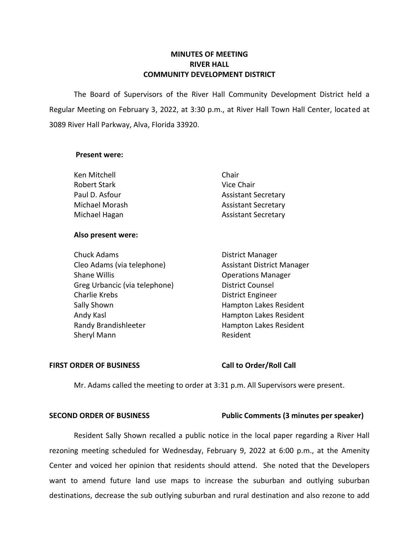# **MINUTES OF MEETING RIVER HALL COMMUNITY DEVELOPMENT DISTRICT**

 The Board of Supervisors of the River Hall Community Development District held a Regular Meeting on February 3, 2022, at 3:30 p.m., at River Hall Town Hall Center, located at 3089 River Hall Parkway, Alva, Florida 33920.

### **Present were:**

| Ken Mitchell        | Chair                      |
|---------------------|----------------------------|
| <b>Robert Stark</b> | Vice Chair                 |
| Paul D. Asfour      | <b>Assistant Secretary</b> |
| Michael Morash      | <b>Assistant Secretary</b> |
| Michael Hagan       | <b>Assistant Secretary</b> |

# **Also present were:**

| <b>Chuck Adams</b>            | <b>District Manager</b>           |
|-------------------------------|-----------------------------------|
| Cleo Adams (via telephone)    | <b>Assistant District Manager</b> |
| <b>Shane Willis</b>           | <b>Operations Manager</b>         |
| Greg Urbancic (via telephone) | <b>District Counsel</b>           |
| Charlie Krebs                 | <b>District Engineer</b>          |
| Sally Shown                   | Hampton Lakes Resident            |
| Andy Kasl                     | Hampton Lakes Resident            |
| Randy Brandishleeter          | Hampton Lakes Resident            |
| Sheryl Mann                   | Resident                          |

## FIRST ORDER OF BUSINESS Call to Order/Roll Call

Mr. Adams called the meeting to order at 3:31 p.m. All Supervisors were present.

# **SECOND ORDER OF BUSINESS Public Comments (3 minutes per speaker)**

Resident Sally Shown recalled a public notice in the local paper regarding a River Hall rezoning meeting scheduled for Wednesday, February 9, 2022 at 6:00 p.m., at the Amenity Center and voiced her opinion that residents should attend. She noted that the Developers want to amend future land use maps to increase the suburban and outlying suburban destinations, decrease the sub outlying suburban and rural destination and also rezone to add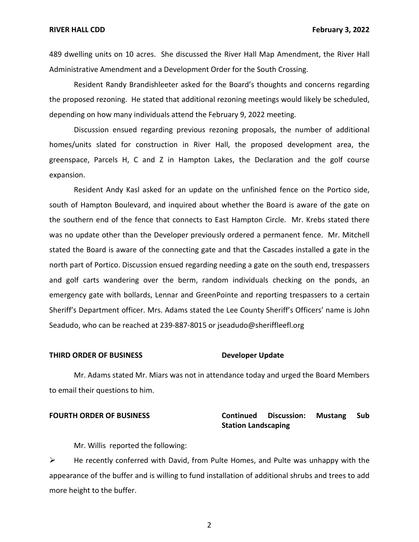489 dwelling units on 10 acres. She discussed the River Hall Map Amendment, the River Hall Administrative Amendment and a Development Order for the South Crossing.

Resident Randy Brandishleeter asked for the Board's thoughts and concerns regarding the proposed rezoning. He stated that additional rezoning meetings would likely be scheduled, depending on how many individuals attend the February 9, 2022 meeting.

Discussion ensued regarding previous rezoning proposals, the number of additional homes/units slated for construction in River Hall, the proposed development area, the greenspace, Parcels H, C and Z in Hampton Lakes, the Declaration and the golf course expansion.

Resident Andy Kasl asked for an update on the unfinished fence on the Portico side, south of Hampton Boulevard, and inquired about whether the Board is aware of the gate on the southern end of the fence that connects to East Hampton Circle. Mr. Krebs stated there was no update other than the Developer previously ordered a permanent fence. Mr. Mitchell stated the Board is aware of the connecting gate and that the Cascades installed a gate in the north part of Portico. Discussion ensued regarding needing a gate on the south end, trespassers and golf carts wandering over the berm, random individuals checking on the ponds, an emergency gate with bollards, Lennar and GreenPointe and reporting trespassers to a certain Sheriff's Department officer. Mrs. Adams stated the Lee County Sheriff's Officers' name is John Seadudo, who can be reached at 239-887-8015 or [jseadudo@sheriffleefl.org](mailto:jseadudo@sheriffleefl.org) 

## **THIRD ORDER OF BUSINESS Developer Update**

Mr. Adams stated Mr. Miars was not in attendance today and urged the Board Members to email their questions to him.

# **FOURTH ORDER OF BUSINESS Continued Discussion: Mustang Sub Station Landscaping**

Mr. Willis reported the following:

 $\triangleright$  He recently conferred with David, from Pulte Homes, and Pulte was unhappy with the appearance of the buffer and is willing to fund installation of additional shrubs and trees to add more height to the buffer.

2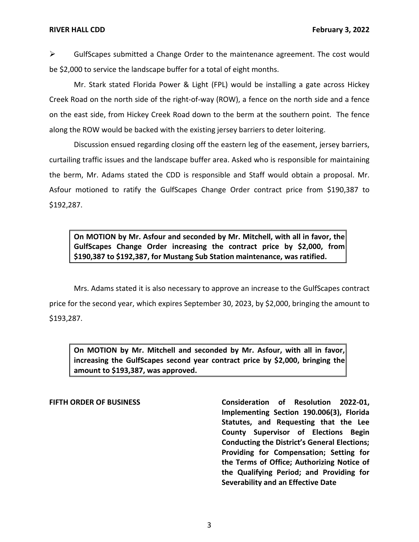$\triangleright$  GulfScapes submitted a Change Order to the maintenance agreement. The cost would be \$2,000 to service the landscape buffer for a total of eight months.

Mr. Stark stated Florida Power & Light (FPL) would be installing a gate across Hickey Creek Road on the north side of the right-of-way (ROW), a fence on the north side and a fence on the east side, from Hickey Creek Road down to the berm at the southern point. The fence along the ROW would be backed with the existing jersey barriers to deter loitering.

Discussion ensued regarding closing off the eastern leg of the easement, jersey barriers, curtailing traffic issues and the landscape buffer area. Asked who is responsible for maintaining the berm, Mr. Adams stated the CDD is responsible and Staff would obtain a proposal. Mr. Asfour motioned to ratify the GulfScapes Change Order contract price from \$190,387 to \$192,287.

 **On MOTION by Mr. Asfour and seconded by Mr. Mitchell, with all in favor, the GulfScapes Change Order increasing the contract price by \$2,000, from \$190,387 to \$192,387, for Mustang Sub Station maintenance, was ratified.** 

Mrs. Adams stated it is also necessary to approve an increase to the GulfScapes contract price for the second year, which expires September 30, 2023, by \$2,000, bringing the amount to \$193,287.

 **On MOTION by Mr. Mitchell and seconded by Mr. Asfour, with all in favor, increasing the GulfScapes second year contract price by \$2,000, bringing the amount to \$193,387, was approved.** 

FIFTH ORDER OF BUSINESS **Consideration of Resolution 2022-01**,  **Implementing Section 190.006(3), Florida Statutes, and Requesting that the Lee County Supervisor of Elections Begin Conducting the District's General Elections; Providing for Compensation; Setting for the Terms of Office; Authorizing Notice of the Qualifying Period; and Providing for Severability and an Effective Date** 

3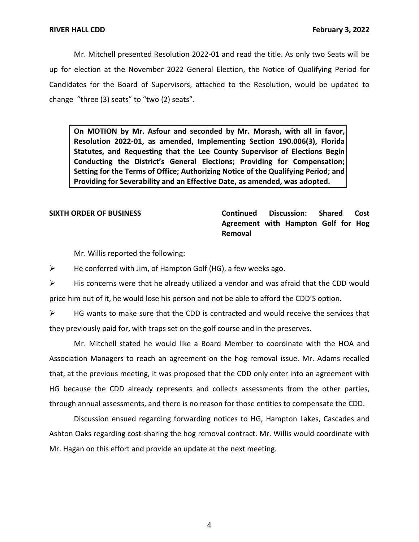Mr. Mitchell presented Resolution 2022-01 and read the title. As only two Seats will be up for election at the November 2022 General Election, the Notice of Qualifying Period for Candidates for the Board of Supervisors, attached to the Resolution, would be updated to change "three (3) seats" to "two (2) seats".

 **On MOTION by Mr. Asfour and seconded by Mr. Morash, with all in favor, Resolution 2022-01, as amended, Implementing Section 190.006(3), Florida Statutes, and Requesting that the Lee County Supervisor of Elections Begin Conducting the District's General Elections; Providing for Compensation; Setting for the Terms of Office; Authorizing Notice of the Qualifying Period; and Providing for Severability and an Effective Date, as amended, was adopted.** 

**SIXTH ORDER OF BUSINESS Continued Discussion: Shared Cost Agreement with Hampton Golf for Hog Removal** 

Mr. Willis reported the following:

 $\triangleright$  He conferred with Jim, of Hampton Golf (HG), a few weeks ago.

 $\triangleright$  His concerns were that he already utilized a vendor and was afraid that the CDD would price him out of it, he would lose his person and not be able to afford the CDD'S option.

 $\triangleright$  HG wants to make sure that the CDD is contracted and would receive the services that they previously paid for, with traps set on the golf course and in the preserves.

Mr. Mitchell stated he would like a Board Member to coordinate with the HOA and Association Managers to reach an agreement on the hog removal issue. Mr. Adams recalled that, at the previous meeting, it was proposed that the CDD only enter into an agreement with HG because the CDD already represents and collects assessments from the other parties, through annual assessments, and there is no reason for those entities to compensate the CDD.

Discussion ensued regarding forwarding notices to HG, Hampton Lakes, Cascades and Ashton Oaks regarding cost-sharing the hog removal contract. Mr. Willis would coordinate with Mr. Hagan on this effort and provide an update at the next meeting.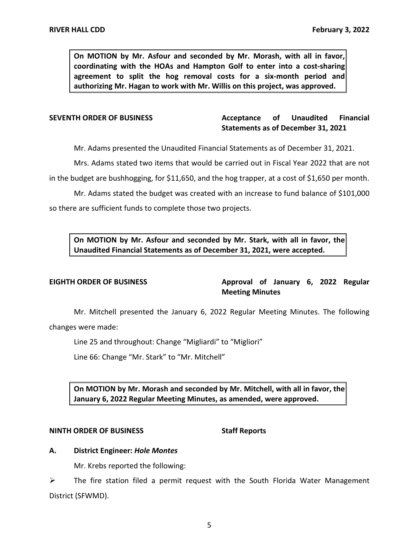**On MOTION by Mr. Asfour and seconded by Mr. Morash, with all in favor, coordinating with the HOAs and Hampton Golf to enter into a cost-sharing agreement to split the hog removal costs for a six-month period and authorizing Mr. Hagan to work with Mr. Willis on this project, was approved.** 

# **SEVENTH ORDER OF BUSINESS Acceptance of Unaudited Financial Statements as of December 31, 2021**

Mr. Adams presented the Unaudited Financial Statements as of December 31, 2021.

Mrs. Adams stated two items that would be carried out in Fiscal Year 2022 that are not in the budget are bushhogging, for \$11,650, and the hog trapper, at a cost of \$1,650 per month.

Mr. Adams stated the budget was created with an increase to fund balance of \$101,000 so there are sufficient funds to complete those two projects.

 **On MOTION by Mr. Asfour and seconded by Mr. Stark, with all in favor, the Unaudited Financial Statements as of December 31, 2021, were accepted.** 

EIGHTH ORDER OF BUSINESS **Approval of January 6, 2022** Regular **Meeting Minutes** 

 Mr. Mitchell presented the January 6, 2022 Regular Meeting Minutes. The following changes were made:

Line 25 and throughout: Change "Migliardi" to "Migliori"

Line 66: Change "Mr. Stark" to "Mr. Mitchell"

 **On MOTION by Mr. Morash and seconded by Mr. Mitchell, with all in favor, the January 6, 2022 Regular Meeting Minutes, as amended, were approved.** 

### **NINTH ORDER OF BUSINESS** Staff Reports

# **A. District Engineer:** *Hole Montes*

Mr. Krebs reported the following:

➢ The fire station filed a permit request with the South Florida Water Management District (SFWMD).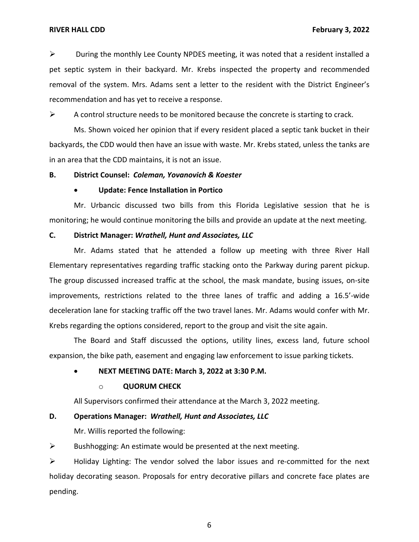$\triangleright$  During the monthly Lee County NPDES meeting, it was noted that a resident installed a pet septic system in their backyard. Mr. Krebs inspected the property and recommended removal of the system. Mrs. Adams sent a letter to the resident with the District Engineer's recommendation and has yet to receive a response.

 $\triangleright$  A control structure needs to be monitored because the concrete is starting to crack.

Ms. Shown voiced her opinion that if every resident placed a septic tank bucket in their backyards, the CDD would then have an issue with waste. Mr. Krebs stated, unless the tanks are in an area that the CDD maintains, it is not an issue.

# **B. District Counsel:** *Coleman, Yovanovich & Koester*

### • **Update: Fence Installation in Portico**

Mr. Urbancic discussed two bills from this Florida Legislative session that he is monitoring; he would continue monitoring the bills and provide an update at the next meeting.

## **C. District Manager:** *Wrathell, Hunt and Associates, LLC*

Mr. Adams stated that he attended a follow up meeting with three River Hall Elementary representatives regarding traffic stacking onto the Parkway during parent pickup. The group discussed increased traffic at the school, the mask mandate, busing issues, on-site improvements, restrictions related to the three lanes of traffic and adding a 16.5'-wide deceleration lane for stacking traffic off the two travel lanes. Mr. Adams would confer with Mr. Krebs regarding the options considered, report to the group and visit the site again.

The Board and Staff discussed the options, utility lines, excess land, future school expansion, the bike path, easement and engaging law enforcement to issue parking tickets.

### • **NEXT MEETING DATE: March 3, 2022 at 3:30 P.M.**

### o **QUORUM CHECK**

All Supervisors confirmed their attendance at the March 3, 2022 meeting.

# **D. Operations Manager:** *Wrathell, Hunt and Associates, LLC*

Mr. Willis reported the following:

 $\triangleright$  Bushhogging: An estimate would be presented at the next meeting.

➢ Holiday Lighting: The vendor solved the labor issues and re-committed for the next holiday decorating season. Proposals for entry decorative pillars and concrete face plates are pending.

6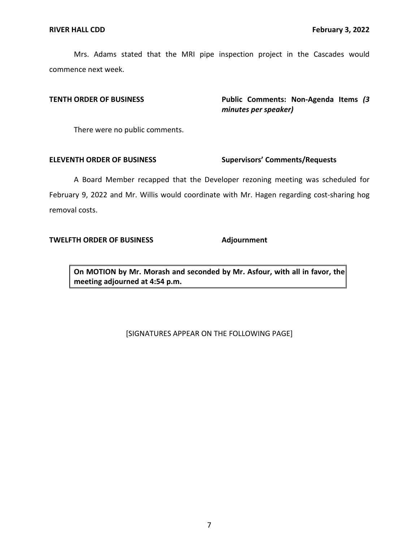Mrs. Adams stated that the MRI pipe inspection project in the Cascades would commence next week.

**TENTH ORDER OF BUSINESS Public Comments: Non-Agenda Items** *(3 minutes per speaker)* 

There were no public comments.

# **ELEVENTH ORDER OF BUSINESS Supervisors' Comments/Requests**

A Board Member recapped that the Developer rezoning meeting was scheduled for February 9, 2022 and Mr. Willis would coordinate with Mr. Hagen regarding cost-sharing hog removal costs.

# **TWELFTH ORDER OF BUSINESS Adjournment**

 **On MOTION by Mr. Morash and seconded by Mr. Asfour, with all in favor, the meeting adjourned at 4:54 p.m.** 

# [SIGNATURES APPEAR ON THE FOLLOWING PAGE]